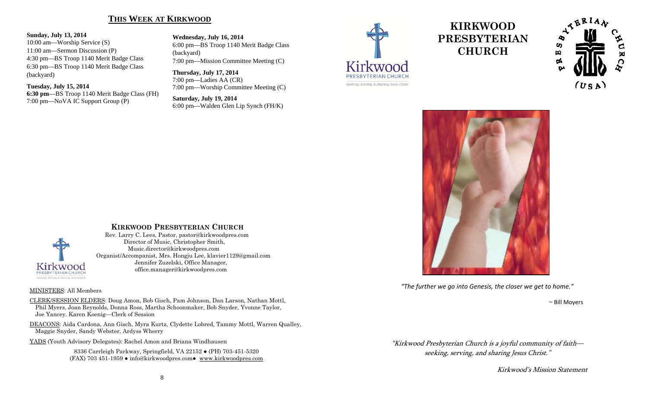## **THIS WEEK AT KIRKWOOD**

#### **Sunday, July 13, 2014**

10:00 am—Worship Service (S) 11:00 am—Sermon Discussion (P) 4:30 pm—BS Troop 1140 Merit Badge Class 6:30 pm—BS Troop 1140 Merit Badge Class (backyard)

**Tuesday, July 15, 2014 6:30 pm**—BS Troop 1140 Merit Badge Class (FH) 7:00 pm—NoVA IC Support Group (P)

**Wednesday, July 16, 2014**  6:00 pm—BS Troop 1140 Merit Badge Class (backyard) 7:00 pm—Mission Committee Meeting (C)

**Thursday, July 17, 2014**  7:00 pm—Ladies AA (CR) 7:00 pm—Worship Committee Meeting (C)

**Saturday, July 19, 2014**  6:00 pm—Walden Glen Lip Synch (FH/K)



# **KIRKWOOD PRESBYTERIAN CHURCH**





*"The further we go into Genesis, the closer we get to home."*

 $\sim$  Bill  $\sim$  Bill Moyers

"Kirkwood Presbyterian Church is a joyful community of faith seeking, serving, and sharing Jesus Christ."

Kirkwood's Mission Statement



#### **KIRKWOOD PRESBYTERIAN CHURCH**

 Rev. Larry C. Lees, Pastor, pastor@kirkwoodpres.com Director of Music, Christopher Smith, Music.director@kirkwoodpres.com Organist/Accompanist, Mrs. Hongju Lee, klavier1129@gmail.com Jennifer Zuzelski, Office Manager, office.manager@kirkwoodpres.com

#### MINISTERS: All Members

CLERK/SESSION ELDERS: Doug Amon, Bob Gisch, Pam Johnson, Dan Larson, Nathan Mottl, Phil Myers, Joan Reynolds, Donna Ross, Martha Schoonmaker, Bob Snyder, Yvonne Taylor, Joe Yancey. Karen Koenig—Clerk of Session

DEACONS: Aida Cardona, Ann Gisch, Myra Kurtz, Clydette Lobred, Tammy Mottl, Warren Qualley, Maggie Snyder, Sandy Webster, Ardyss Wherry

YADS (Youth Advisory Delegates): Rachel Amon and Briana Windhausen

8336 Carrleigh Parkway, Springfield, VA 22152 ● (PH) 703-451-5320 (FAX) 703 451-1959 ● info@kirkwoodpres.com● www.kirkwoodpres.com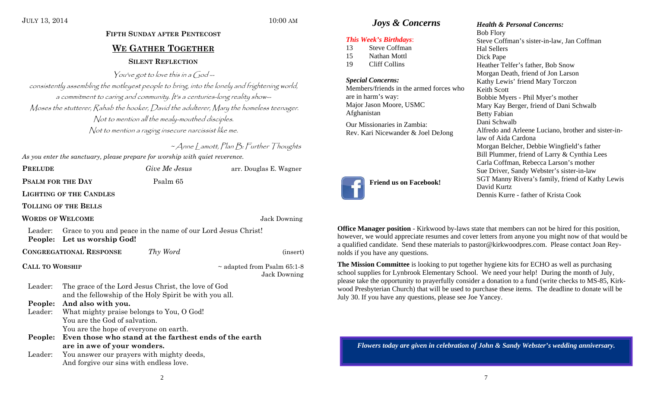#### JULY 13, 2014 10:00 AM

# **FIFTH SUNDAY AFTER PENTECOST WE GATHER TOGETHER SILENT REFLECTION**

You've got to love this in a God  $$ consistently assembling the motleyest people to bring, into the lonely and frightening world, a commitment to caring and community. It's a centuries-long reality show-- Moses the stutterer, Rahab the hooker, David the adulterer, Mary the homeless teenager. Not to mention all the mealy-mouthed disciples. Not to mention a raging insecure narcissist like me.

 $~\sim$  Anne | amott, Plan  $B$ : Further Thoughts

*As you enter the sanctuary, please prepare for worship with quiet reverence.* 

| <b>PRELUDE</b>         |                                                                                                               | Give Me Jesus | arr. Douglas E. Wagner                           |  |  |
|------------------------|---------------------------------------------------------------------------------------------------------------|---------------|--------------------------------------------------|--|--|
| PSALM FOR THE DAY      |                                                                                                               | Psalm 65      |                                                  |  |  |
|                        | <b>LIGHTING OF THE CANDLES</b>                                                                                |               |                                                  |  |  |
|                        | <b>TOLLING OF THE BELLS</b>                                                                                   |               |                                                  |  |  |
|                        | <b>WORDS OF WELCOME</b>                                                                                       |               | Jack Downing                                     |  |  |
| Leader:                | Grace to you and peace in the name of our Lord Jesus Christ!<br>People: Let us worship God!                   |               |                                                  |  |  |
|                        | <b>CONGREGATIONAL RESPONSE</b>                                                                                | Thy Word      | (insert)                                         |  |  |
| <b>CALL TO WORSHIP</b> |                                                                                                               |               | $\sim$ adapted from Psalm 65:1-8<br>Jack Downing |  |  |
| Leader:                | The grace of the Lord Jesus Christ, the love of God<br>and the fellowship of the Holy Spirit be with you all. |               |                                                  |  |  |
| People:                | And also with you.                                                                                            |               |                                                  |  |  |
| Leader:                | What mighty praise belongs to You, O God!<br>You are the God of salvation.                                    |               |                                                  |  |  |
|                        | You are the hope of everyone on earth.                                                                        |               |                                                  |  |  |
| People:                | Even those who stand at the farthest ends of the earth                                                        |               |                                                  |  |  |
|                        | are in awe of your wonders.                                                                                   |               |                                                  |  |  |
| Leader:                | You answer our prayers with mighty deeds,                                                                     |               |                                                  |  |  |
|                        | And forgive our sins with endless love.                                                                       |               |                                                  |  |  |

## *Joys & Concerns Health & Personal Concerns:*

#### *This Week's Birthdays*:

- 13 Steve Coffman 15 Nathan Mottl
- 19 Cliff Collins

### *Special Concerns:*

Members/friends in the armed forces who are in harm's way: Major Jason Moore, USMC Afghanistan

Our Missionaries in Zambia: Rev. Kari Nicewander & Joel DeJong



Bob Flory Steve Coffman's sister-in-law, Jan Coffman Hal Sellers Dick Pape Heather Telfer's father, Bob Snow Morgan Death, friend of Jon Larson Kathy Lewis' friend Mary Torczon Keith Scott Bobbie Myers - Phil Myer's mother Mary Kay Berger, friend of Dani Schwalb Betty Fabian Dani Schwalb Alfredo and Arleene Luciano, brother and sister-inlaw of Aida Cardona Morgan Belcher, Debbie Wingfield's father Bill Plummer, friend of Larry & Cynthia Lees Carla Coffman, Rebecca Larson's mother Sue Driver, Sandy Webster's sister-in-law SGT Manny Rivera's family, friend of Kathy Lewis David Kurtz

Dennis Kurre - father of Krista Cook

**Office Manager position** - Kirkwood by-laws state that members can not be hired for this position, however, we would appreciate resumes and cover letters from anyone you might now of that would be a qualified candidate. Send these materials to pastor@kirkwoodpres.com. Please contact Joan Reynolds if you have any questions.

**The Mission Committee** is looking to put together hygiene kits for ECHO as well as purchasing school supplies for Lynbrook Elementary School. We need your help! During the month of July, please take the opportunity to prayerfully consider a donation to a fund (write checks to MS-85, Kirkwood Presbyterian Church) that will be used to purchase these items. The deadline to donate will be July 30. If you have any questions, please see Joe Yancey.

*Flowers today are given in celebration of John & Sandy Webster's wedding anniversary.*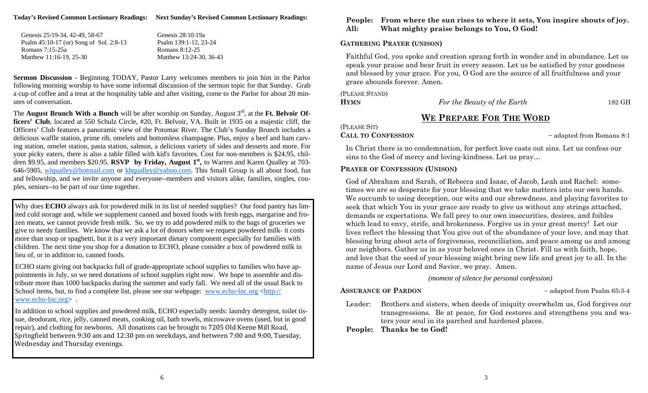**Today's Revised Common Lectionary Readings: Next Sunday's Revised Common Lectionary Readings:** 

| Genesis 25:19-34, 42-49, 58-67          | Genesis 28:10:19a       |
|-----------------------------------------|-------------------------|
| Psalm 45:10-17 (or) Song of Sol. 2:8-13 | Psalm 139:1-12, 23-24   |
| Romans 7:15-25a                         | Romans 8:12-25          |
| Matthew 11:16-19. 25-30                 | Matthew 13:24-30, 36-43 |

**Sermon Discussion** - Beginning TODAY, Pastor Larry welcomes members to join him in the Parlor following morning worship to have some informal discussion of the sermon topic for that Sunday. Grab a cup of coffee and a treat at the hospitality table and after visiting, come to the Parlor for about 20 minutes of conversation.

The **August Brunch With a Bunch** will be after worship on Sunday, August 3<sup>rd</sup>, at the Ft. Belvoir Of**ficers' Club**, located at 550 Schulz Circle, #20, Ft. Belvoir, VA. Built in 1935 on a majestic cliff, the Officers' Club features a panoramic view of the Potomac River. The Club's Sunday Brunch includes a delicious waffle station, prime rib, omelets and bottomless champagne. Plus, enjoy a beef and ham carving station, omelet station, pasta station, salmon, a delicious variety of sides and desserts and more. For your picky eaters, there is also a table filled with kid's favorites. Cost for non-members is \$24.95, children \$9.95, and members \$20.95. **RSVP** by Friday, August 1<sup>st</sup>, to Warren and Karen Qualley at 703-646-5905, wlqualley@hotmail.com or kbqualley@yahoo.com. This Small Group is all about food, fun and fellowship, and we invite anyone and everyone--members and visitors alike, families, singles, couples, seniors--to be part of our time together.

Why does **ECHO** always ask for powdered milk in its list of needed supplies? Our food pantry has limited cold storage and, while we supplement canned and boxed foods with fresh eggs, margarine and frozen meats, we cannot provide fresh milk. So, we try to add powdered milk to the bags of groceries we give to needy families. We know that we ask a lot of donors when we request powdered milk- it costs more than soup or spaghetti, but it is a very important dietary component especially for families with children. The next time you shop for a donation to ECHO, please consider a box of powdered milk in lieu of, or in addition to, canned foods.

ECHO starts giving out backpacks full of grade-appropriate school supplies to families who have appointments in July, so we need donations of school supplies right now. We hope to assemble and distribute more than 1000 backpacks during the summer and early fall. We need all of the usual Back to School items, but, to find a complete list, please see our webpage: www.echo-Inc.org <http:// www.echo-Inc.org> .

In addition to school supplies and powdered milk, ECHO especially needs: laundry detergent, toilet tissue, deodorant, rice, jelly, canned meats, cooking oil, bath towels, microwave ovens (used, but in good repair), and clothing for newborns. All donations can be brought to 7205 Old Keene Mill Road, Springfield between  $9:30$  am and  $12:30$  pm on weekdays, and between  $7:00$  and  $9:00$ . Tuesday, Wednesday and Thursday evenings.

#### **People: From where the sun rises to where it sets, You inspire shouts of joy. All: What mighty praise belongs to You, O God!**

### **GATHERING PRAYER (UNISON)**

Faithful God, you spoke and creation sprang forth in wonder and in abundance. Let us speak your praise and bear fruit in every season. Let us be satisfied by your goodness and blessed by your grace. For you, O God are the source of all fruitfulness and your grace abounds forever. Amen.

(PLEASE STAND) **HYMN**

*For the Beauty of the Earth* 182 GH

# **WE PREPARE FOR THE WORD**

(PLEASE SIT)

### **CALL TO CONFESSION**

 $\sim$  adapted from Romans 8:1

In Christ there is no condemnation, for perfect love casts out sins. Let us confess our sins to the God of mercy and loving-kindness. Let us pray…

### **PRAYER OF CONFESSION (UNISON)**

God of Abraham and Sarah, of Rebecca and Isaac, of Jacob, Leah and Rachel: sometimes we are so desperate for your blessing that we take matters into our own hands. We succumb to using deception, our wits and our shrewdness, and playing favorites to seek that which You in your grace are ready to give us without any strings attached, demands or expectations. We fall prey to our own insecurities, desires, and foibles which lead to envy, strife, and brokenness. Forgive us in your great mercy! Let our lives reflect the blessing that You give out of the abundance of your love, and may that blessing bring about acts of forgiveness, reconciliation, and peace among us and among our neighbors. Gather us in as your beloved ones in Christ. Fill us with faith, hope, and love that the seed of your blessing might bring new life and great joy to all. In the name of Jesus our Lord and Savior, we pray. Amen.

#### *(moment of silence for personal confession)*

 $\sim$  adapted from Psalm 65:3-4

Leader: Brothers and sisters, when deeds of iniquity overwhelm us, God forgives our transgressions. Be at peace, for God restores and strengthens you and waters your soul in its parched and hardened places.

**People: Thanks be to God!** 

**ASSURANCE OF PARDON**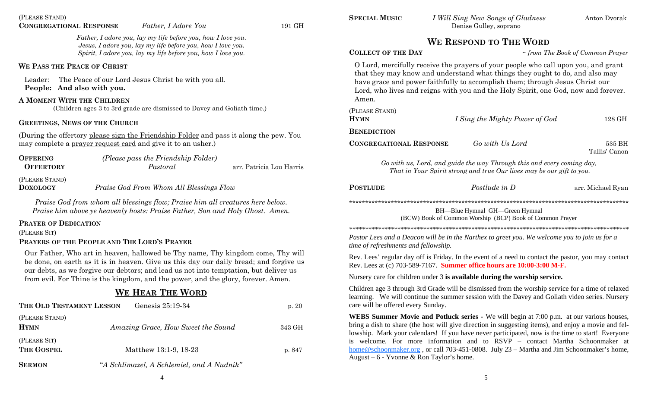*Father, I adore you, lay my life before you, how I love you. Jesus, I adore you, lay my life before you, how I love you. Spirit, I adore you, lay my life before you, how I love you.* 

#### **WE PASS THE PEACE OF CHRIST**

Leader: The Peace of our Lord Jesus Christ be with you all. **People: And also with you.**

#### **A MOMENT WITH THE CHILDREN**

(Children ages 3 to 3rd grade are dismissed to Davey and Goliath time.)

#### **GREETINGS, NEWS OF THE CHURCH**

(During the offertory please sign the Friendship Folder and pass it along the pew. You may complete a prayer request card and give it to an usher.)

| <b>OFFERING</b>  | (Please pass the Friendship Folder) |                          |
|------------------|-------------------------------------|--------------------------|
| <b>OFFERTORY</b> | Pastoral                            | arr. Patricia Lou Harris |
|                  |                                     |                          |

(PLEASE STAND)

**DOXOLOGY***Praise God From Whom All Blessings Flow* 

*Praise God from whom all blessings flow; Praise him all creatures here below. Praise him above ye heavenly hosts: Praise Father, Son and Holy Ghost. Amen.* 

#### **PRAYER OF DEDICATION**

(PLEASE SIT)

#### **PRAYERS OF THE PEOPLE AND THE LORD'S PRAYER**

Our Father, Who art in heaven, hallowed be Thy name, Thy kingdom come, Thy will be done, on earth as it is in heaven. Give us this day our daily bread; and forgive us our debts, as we forgive our debtors; and lead us not into temptation, but deliver us from evil. For Thine is the kingdom, and the power, and the glory, forever. Amen.

# **WE HEAR THE WORD**

| THE OLD TESTAMENT LESSON      | p. $20$                                   |        |
|-------------------------------|-------------------------------------------|--------|
| (PLEASE STAND)<br><b>HYMN</b> | Amazing Grace, How Sweet the Sound        | 343 GH |
| (PLEASE SIT)<br>THE GOSPEL    | Matthew 13:1-9, 18-23                     | p. 847 |
| <b>SERMON</b>                 | "A Schlimazel, A Schlemiel, and A Nudnik" |        |

**SPECIAL MUSIC**

## **WE RESPOND TO THE WORD**

#### **COLLECT OF THE DAY**

 $\sim$  *from The Book of Common Prayer* 

O Lord, mercifully receive the prayers of your people who call upon you, and grant that they may know and understand what things they ought to do, and also may have grace and power faithfully to accomplish them; through Jesus Christ our Lord, who lives and reigns with you and the Holy Spirit, one God, now and forever. Amen.

| (PLEASE STAND)<br><b>HYMN</b>  | I Sing the Mighty Power of God | 128 GH                  |
|--------------------------------|--------------------------------|-------------------------|
| <b>BENEDICTION</b>             |                                |                         |
| <b>CONGREGATIONAL RESPONSE</b> | Go with Us Lord                | 535 BH<br>Tallis' Canon |

*Go with us, Lord, and guide the way Through this and every coming day, That in Your Spirit strong and true Our lives may be our gift to you.*

**POSTLUDE**

*Postlude in D* arr. Michael Ryan

\*\*\*\*\*\*\*\*\*\*\*\*\*\*\*\*\*\*\*\*\*\*\*\*\*\*\*\*\*\*\*\*\*\*\*\*\*\*\*\*\*\*\*\*\*\*\*\*\*\*\*\*\*\*\*\*\*\*\*\*\*\*\*\*\*\*\*\*\*\*\*\*\*\*\*\*\*\*\*\*\*\*\*\*\*\*\*

BH—Blue Hymnal GH—Green Hymnal (BCW) Book of Common Worship (BCP) Book of Common Prayer

*\*\*\*\*\*\*\*\*\*\*\*\*\*\*\*\*\*\*\*\*\*\*\*\*\*\*\*\*\*\*\*\*\*\*\*\*\*\*\*\*\*\*\*\*\*\*\*\*\*\*\*\*\*\*\*\*\*\*\*\*\*\*\*\*\*\*\*\*\*\*\*\*\*\*\*\*\*\*\*\*\*\*\*\*\*\*\* Pastor Lees and a Deacon will be in the Narthex to greet you. We welcome you to join us for a time of refreshments and fellowship.*

Rev. Lees' regular day off is Friday. In the event of a need to contact the pastor, you may contact Rev. Lees at (c) 703-589-7167. **Summer office hours are 10:00-3:00 M-F.** 

Nursery care for children under 3 **is available during the worship service.** 

Children age 3 through 3rd Grade will be dismissed from the worship service for a time of relaxed learning. We will continue the summer session with the Davey and Goliath video series. Nursery care will be offered every Sunday.

**WEBS Summer Movie and Potluck series -** We will begin at 7:00 p.m. at our various houses, bring a dish to share (the host will give direction in suggesting items), and enjoy a movie and fellowship. Mark your calendars! If you have never participated, now is the time to start! Everyone is welcome. For more information and to RSVP – contact Martha Schoonmaker at home@schoonmaker.org , or call 703-451-0808. July 23 – Martha and Jim Schoonmaker's home, August – 6 - Yvonne & Ron Taylor's home.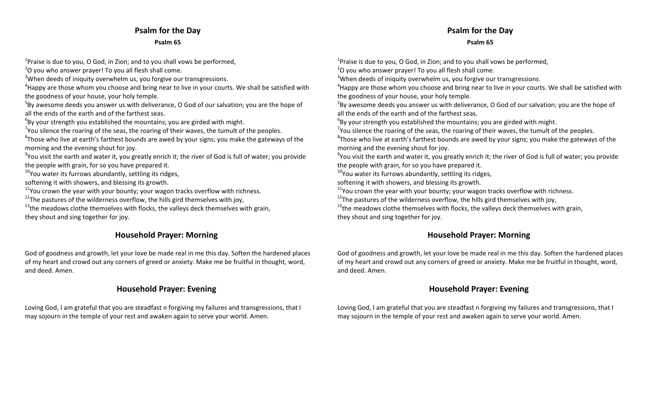# **Psalm for the Day Psalm 65**

 $^{1}$ Praise is due to you, O God, in Zion; and to you shall vows be performed,

 $2$ O you who answer prayer! To you all flesh shall come.

 $3$ When deeds of iniquity overwhelm us, you forgive our transgressions.

 $4$ Happy are those whom you choose and bring near to live in your courts. We shall be satisfied with the goodness of your house, your holy temple.

 $5By$  awesome deeds you answer us with deliverance, O God of our salvation; you are the hope of all the ends of the earth and of the farthest seas.

 $6By$  your strength you established the mountains; you are girded with might.

 $7$ You silence the roaring of the seas, the roaring of their waves, the tumult of the peoples.

 ${}^{8}$ Those who live at earth's farthest bounds are awed by your signs; you make the gateways of the morning and the evening shout for joy.

 $^{9}$ You visit the earth and water it, you greatly enrich it; the river of God is full of water; you provide the people with grain, for so you have prepared it.

<sup>10</sup>You water its furrows abundantly, settling its ridges,

softening it with showers, and blessing its growth.

 $^{11}$ You crown the year with your bounty; your wagon tracks overflow with richness.

 $^{12}$ The pastures of the wilderness overflow, the hills gird themselves with joy,

 $^{13}$ the meadows clothe themselves with flocks, the valleys deck themselves with grain, they shout and sing together for joy.

# **Household Prayer: Morning**

God of goodness and growth, let your love be made real in me this day. Soften the hardened places of my heart and crowd out any corners of greed or anxiety. Make me be fruitful in thought, word, and deed. Amen.

# **Household Prayer: Evening**

Loving God, I am grateful that you are steadfast <sup>n</sup> forgiving my failures and transgressions, that I may sojourn in the temple of your rest and awaken again to serve your world. Amen.

# **Psalm for the Day**

#### **Psalm 65**

 $^{1}$ Praise is due to you, O God, in Zion; and to you shall vows be performed,  $2$ O you who answer prayer! To you all flesh shall come.

 $3$ When deeds of iniquity overwhelm us, you forgive our transgressions.

 $4$ Happy are those whom you choose and bring near to live in your courts. We shall be satisfied with the goodness of your house, your holy temple.

 $5By$  awesome deeds you answer us with deliverance, O God of our salvation; you are the hope of all the ends of the earth and of the farthest seas.

 $6By$  your strength you established the mountains; you are girded with might.

 $7$ You silence the roaring of the seas, the roaring of their waves, the tumult of the peoples.

 ${}^{8}$ Those who live at earth's farthest bounds are awed by your signs; you make the gateways of the morning and the evening shout for joy.

 $^{9}$ You visit the earth and water it, you greatly enrich it; the river of God is full of water; you provide the people with grain, for so you have prepared it.

<sup>10</sup>You water its furrows abundantly, settling its ridges,

softening it with showers, and blessing its growth.

 $^{11}$ You crown the year with your bounty; your wagon tracks overflow with richness.

 $^{12}$ The pastures of the wilderness overflow, the hills gird themselves with joy,

 $^{13}$ the meadows clothe themselves with flocks, the valleys deck themselves with grain, they shout and sing together for joy.

# **Household Prayer: Morning**

God of goodness and growth, let your love be made real in me this day. Soften the hardened places of my heart and crowd out any corners of greed or anxiety. Make me be fruitful in thought, word, and deed. Amen.

# **Household Prayer: Evening**

Loving God, I am grateful that you are steadfast <sup>n</sup> forgiving my failures and transgressions, that I may sojourn in the temple of your rest and awaken again to serve your world. Amen.